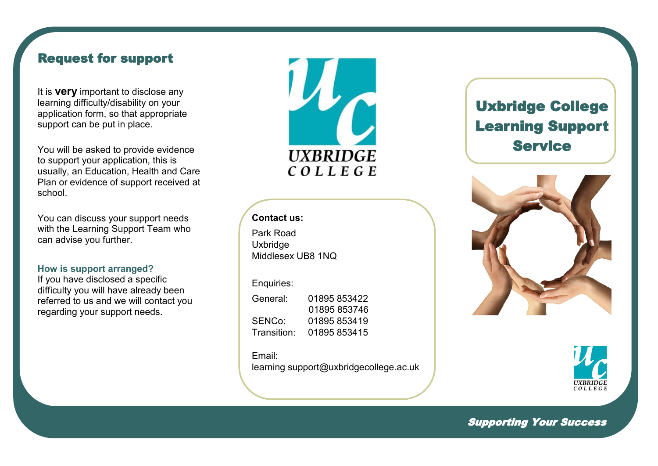## Request for support

It is **very** important to disclose any learning difficulty/disability on your application form, so that appropriate support can be put in place.

You will be asked to provide evidence to support your application, this is usually, an Education, Health and Care Plan or evidence of support received at school.

You can discuss your support needs with the Learning Support Team who can advise you further.

### **How is support arranged?**

If you have disclosed a specific difficulty you will have already been referred to us and we will contact you regarding your support needs.

**UXBRIDGE** COLLEGE

### **Contact us:**

Park Road **Uxbridge** Middlesex UB8 1NQ

### Enquiries:

General: 01895 853422 01895 853746 SENCo: 01895 853419 Transition: 01895 853415

Email:

learning support@uxbridgecollege.ac.uk

# Uxbridge College Learning Support Service





Supporting Your Success